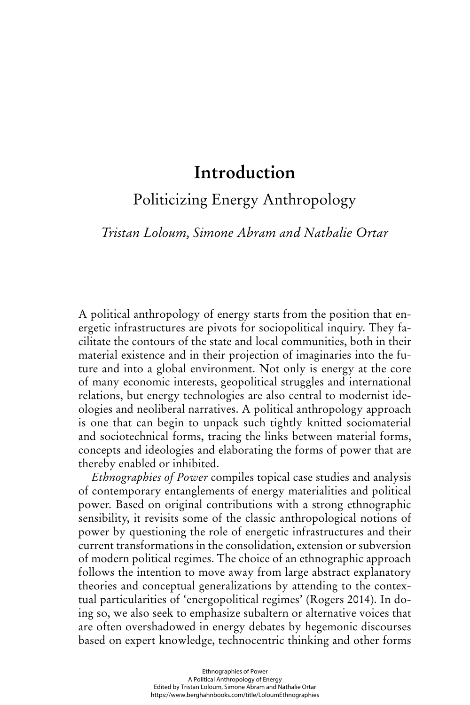# **Introduction**

Politicizing Energy Anthropology

*Tristan Loloum, Simone Abram and Nathalie Ortar*

A political anthropology of energy starts from the position that energetic infrastructures are pivots for sociopolitical inquiry. They facilitate the contours of the state and local communities, both in their material existence and in their projection of imaginaries into the future and into a global environment. Not only is energy at the core of many economic interests, geopolitical struggles and international relations, but energy technologies are also central to modernist ideologies and neoliberal narratives. A political anthropology approach is one that can begin to unpack such tightly knitted sociomaterial and sociotechnical forms, tracing the links between material forms, concepts and ideologies and elaborating the forms of power that are thereby enabled or inhibited.

*Ethnographies of Power* compiles topical case studies and analysis of contemporary entanglements of energy materialities and political power. Based on original contributions with a strong ethnographic sensibility, it revisits some of the classic anthropological notions of power by questioning the role of energetic infrastructures and their current transformations in the consolidation, extension or subversion of modern political regimes. The choice of an ethnographic approach follows the intention to move away from large abstract explanatory theories and conceptual generalizations by attending to the contextual particularities of 'energopolitical regimes' (Rogers 2014). In doing so, we also seek to emphasize subaltern or alternative voices that are often overshadowed in energy debates by hegemonic discourses based on expert knowledge, technocentric thinking and other forms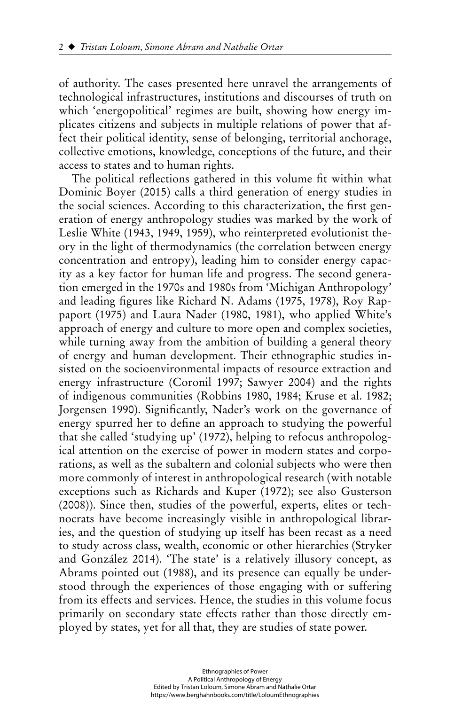of authority. The cases presented here unravel the arrangements of technological infrastructures, institutions and discourses of truth on which 'energopolitical' regimes are built, showing how energy implicates citizens and subjects in multiple relations of power that affect their political identity, sense of belonging, territorial anchorage, collective emotions, knowledge, conceptions of the future, and their access to states and to human rights.

The political reflections gathered in this volume fit within what Dominic Boyer (2015) calls a third generation of energy studies in the social sciences. According to this characterization, the first generation of energy anthropology studies was marked by the work of Leslie White (1943, 1949, 1959), who reinterpreted evolutionist theory in the light of thermodynamics (the correlation between energy concentration and entropy), leading him to consider energy capacity as a key factor for human life and progress. The second generation emerged in the 1970s and 1980s from 'Michigan Anthropology' and leading figures like Richard N. Adams (1975, 1978), Roy Rappaport (1975) and Laura Nader (1980, 1981), who applied White's approach of energy and culture to more open and complex societies, while turning away from the ambition of building a general theory of energy and human development. Their ethnographic studies insisted on the socioenvironmental impacts of resource extraction and energy infrastructure (Coronil 1997; Sawyer 2004) and the rights of indigenous communities (Robbins 1980, 1984; Kruse et al. 1982; Jorgensen 1990). Significantly, Nader's work on the governance of energy spurred her to define an approach to studying the powerful that she called 'studying up' (1972), helping to refocus anthropological attention on the exercise of power in modern states and corporations, as well as the subaltern and colonial subjects who were then more commonly of interest in anthropological research (with notable exceptions such as Richards and Kuper (1972); see also Gusterson (2008)). Since then, studies of the powerful, experts, elites or technocrats have become increasingly visible in anthropological libraries, and the question of studying up itself has been recast as a need to study across class, wealth, economic or other hierarchies (Stryker and González 2014). 'The state' is a relatively illusory concept, as Abrams pointed out (1988), and its presence can equally be understood through the experiences of those engaging with or suffering from its effects and services. Hence, the studies in this volume focus primarily on secondary state effects rather than those directly employed by states, yet for all that, they are studies of state power.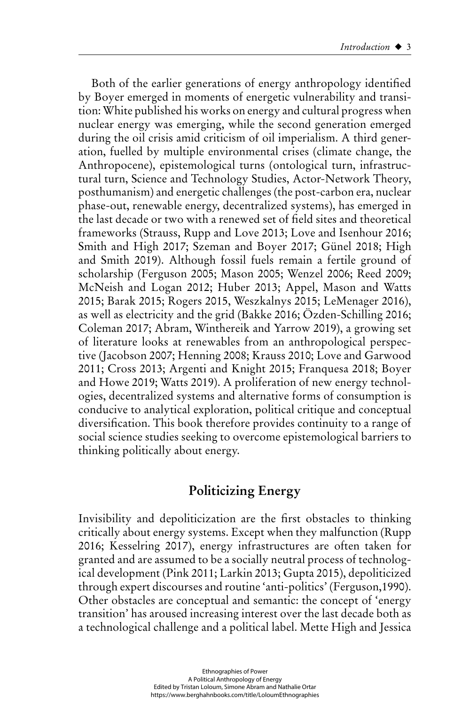Both of the earlier generations of energy anthropology identified by Boyer emerged in moments of energetic vulnerability and transition: White published his works on energy and cultural progress when nuclear energy was emerging, while the second generation emerged during the oil crisis amid criticism of oil imperialism. A third generation, fuelled by multiple environmental crises (climate change, the Anthropocene), epistemological turns (ontological turn, infrastructural turn, Science and Technology Studies, Actor-Network Theory, posthumanism) and energetic challenges (the post-carbon era, nuclear phase-out, renewable energy, decentralized systems), has emerged in the last decade or two with a renewed set of field sites and theoretical frameworks (Strauss, Rupp and Love 2013; Love and Isenhour 2016; Smith and High 2017; Szeman and Boyer 2017; Günel 2018; High and Smith 2019). Although fossil fuels remain a fertile ground of scholarship (Ferguson 2005; Mason 2005; Wenzel 2006; Reed 2009; McNeish and Logan 2012; Huber 2013; Appel, Mason and Watts 2015; Barak 2015; Rogers 2015, Weszkalnys 2015; LeMenager 2016), as well as electricity and the grid (Bakke 2016; Özden-Schilling 2016; Coleman 2017; Abram, Winthereik and Yarrow 2019), a growing set of literature looks at renewables from an anthropological perspective (Jacobson 2007; Henning 2008; Krauss 2010; Love and Garwood 2011; Cross 2013; Argenti and Knight 2015; Franquesa 2018; Boyer and Howe 2019; Watts 2019). A proliferation of new energy technologies, decentralized systems and alternative forms of consumption is conducive to analytical exploration, political critique and conceptual diversification. This book therefore provides continuity to a range of social science studies seeking to overcome epistemological barriers to thinking politically about energy.

# **Politicizing Energy**

Invisibility and depoliticization are the first obstacles to thinking critically about energy systems. Except when they malfunction (Rupp 2016; Kesselring 2017), energy infrastructures are often taken for granted and are assumed to be a socially neutral process of technological development (Pink 2011; Larkin 2013; Gupta 2015), depoliticized through expert discourses and routine 'anti-politics' (Ferguson,1990). Other obstacles are conceptual and semantic: the concept of 'energy transition' has aroused increasing interest over the last decade both as a technological challenge and a political label. Mette High and Jessica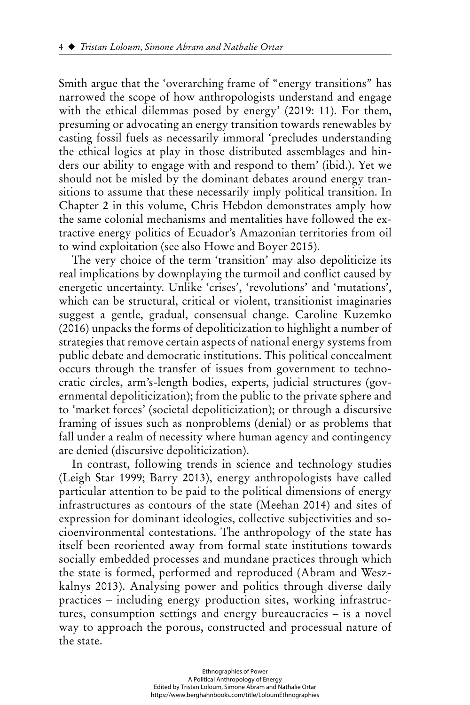Smith argue that the 'overarching frame of "energy transitions" has narrowed the scope of how anthropologists understand and engage with the ethical dilemmas posed by energy' (2019: 11). For them, presuming or advocating an energy transition towards renewables by casting fossil fuels as necessarily immoral 'precludes understanding the ethical logics at play in those distributed assemblages and hinders our ability to engage with and respond to them' (ibid.). Yet we should not be misled by the dominant debates around energy transitions to assume that these necessarily imply political transition. In Chapter 2 in this volume, Chris Hebdon demonstrates amply how the same colonial mechanisms and mentalities have followed the extractive energy politics of Ecuador's Amazonian territories from oil to wind exploitation (see also Howe and Boyer 2015).

The very choice of the term 'transition' may also depoliticize its real implications by downplaying the turmoil and conflict caused by energetic uncertainty. Unlike 'crises', 'revolutions' and 'mutations', which can be structural, critical or violent, transitionist imaginaries suggest a gentle, gradual, consensual change. Caroline Kuzemko (2016) unpacks the forms of depoliticization to highlight a number of strategies that remove certain aspects of national energy systems from public debate and democratic institutions. This political concealment occurs through the transfer of issues from government to technocratic circles, arm's-length bodies, experts, judicial structures (governmental depoliticization); from the public to the private sphere and to 'market forces' (societal depoliticization); or through a discursive framing of issues such as nonproblems (denial) or as problems that fall under a realm of necessity where human agency and contingency are denied (discursive depoliticization).

In contrast, following trends in science and technology studies (Leigh Star 1999; Barry 2013), energy anthropologists have called particular attention to be paid to the political dimensions of energy infrastructures as contours of the state (Meehan 2014) and sites of expression for dominant ideologies, collective subjectivities and socioenvironmental contestations. The anthropology of the state has itself been reoriented away from formal state institutions towards socially embedded processes and mundane practices through which the state is formed, performed and reproduced (Abram and Weszkalnys 2013). Analysing power and politics through diverse daily practices – including energy production sites, working infrastructures, consumption settings and energy bureaucracies – is a novel way to approach the porous, constructed and processual nature of the state.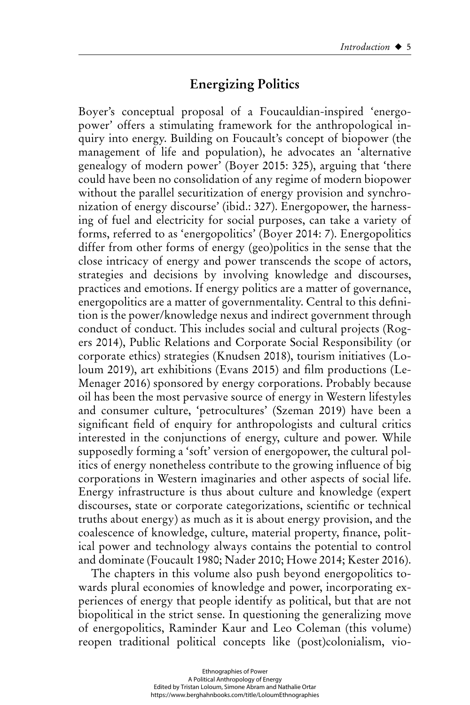# **Energizing Politics**

Boyer's conceptual proposal of a Foucauldian-inspired 'energopower' offers a stimulating framework for the anthropological inquiry into energy. Building on Foucault's concept of biopower (the management of life and population), he advocates an 'alternative genealogy of modern power' (Boyer 2015: 325), arguing that 'there could have been no consolidation of any regime of modern biopower without the parallel securitization of energy provision and synchronization of energy discourse' (ibid.: 327). Energopower, the harnessing of fuel and electricity for social purposes, can take a variety of forms, referred to as 'energopolitics' (Boyer 2014: 7). Energopolitics differ from other forms of energy (geo)politics in the sense that the close intricacy of energy and power transcends the scope of actors, strategies and decisions by involving knowledge and discourses, practices and emotions. If energy politics are a matter of governance, energopolitics are a matter of governmentality. Central to this definition is the power/knowledge nexus and indirect government through conduct of conduct. This includes social and cultural projects (Rogers 2014), Public Relations and Corporate Social Responsibility (or corporate ethics) strategies (Knudsen 2018), tourism initiatives (Loloum 2019), art exhibitions (Evans 2015) and film productions (Le-Menager 2016) sponsored by energy corporations. Probably because oil has been the most pervasive source of energy in Western lifestyles and consumer culture, 'petrocultures' (Szeman 2019) have been a significant field of enquiry for anthropologists and cultural critics interested in the conjunctions of energy, culture and power. While supposedly forming a 'soft' version of energopower, the cultural politics of energy nonetheless contribute to the growing influence of big corporations in Western imaginaries and other aspects of social life. Energy infrastructure is thus about culture and knowledge (expert discourses, state or corporate categorizations, scientific or technical truths about energy) as much as it is about energy provision, and the coalescence of knowledge, culture, material property, finance, political power and technology always contains the potential to control and dominate (Foucault 1980; Nader 2010; Howe 2014; Kester 2016).

The chapters in this volume also push beyond energopolitics towards plural economies of knowledge and power, incorporating experiences of energy that people identify as political, but that are not biopolitical in the strict sense. In questioning the generalizing move of energopolitics, Raminder Kaur and Leo Coleman (this volume) reopen traditional political concepts like (post)colonialism, vio-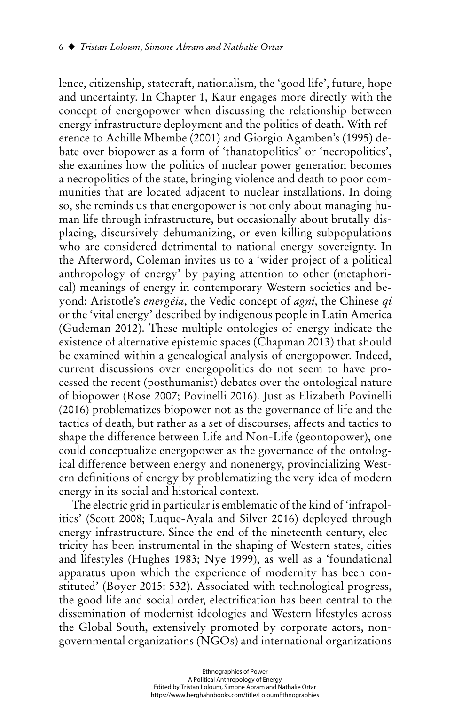lence, citizenship, statecraft, nationalism, the 'good life', future, hope and uncertainty. In Chapter 1, Kaur engages more directly with the concept of energopower when discussing the relationship between energy infrastructure deployment and the politics of death. With reference to Achille Mbembe (2001) and Giorgio Agamben's (1995) debate over biopower as a form of 'thanatopolitics' or 'necropolitics', she examines how the politics of nuclear power generation becomes a necropolitics of the state, bringing violence and death to poor communities that are located adjacent to nuclear installations. In doing so, she reminds us that energopower is not only about managing human life through infrastructure, but occasionally about brutally displacing, discursively dehumanizing, or even killing subpopulations who are considered detrimental to national energy sovereignty. In the Afterword, Coleman invites us to a 'wider project of a political anthropology of energy' by paying attention to other (metaphorical) meanings of energy in contemporary Western societies and beyond: Aristotle's *energéia*, the Vedic concept of *agni*, the Chinese *qi* or the 'vital energy' described by indigenous people in Latin America (Gudeman 2012). These multiple ontologies of energy indicate the existence of alternative epistemic spaces (Chapman 2013) that should be examined within a genealogical analysis of energopower. Indeed, current discussions over energopolitics do not seem to have processed the recent (posthumanist) debates over the ontological nature of biopower (Rose 2007; Povinelli 2016). Just as Elizabeth Povinelli (2016) problematizes biopower not as the governance of life and the tactics of death, but rather as a set of discourses, affects and tactics to shape the difference between Life and Non-Life (geontopower), one could conceptualize energopower as the governance of the ontological difference between energy and nonenergy, provincializing Western definitions of energy by problematizing the very idea of modern energy in its social and historical context.

The electric grid in particular is emblematic of the kind of 'infrapolitics' (Scott 2008; Luque-Ayala and Silver 2016) deployed through energy infrastructure. Since the end of the nineteenth century, electricity has been instrumental in the shaping of Western states, cities and lifestyles (Hughes 1983; Nye 1999), as well as a 'foundational apparatus upon which the experience of modernity has been constituted' (Boyer 2015: 532). Associated with technological progress, the good life and social order, electrification has been central to the dissemination of modernist ideologies and Western lifestyles across the Global South, extensively promoted by corporate actors, nongovernmental organizations (NGOs) and international organizations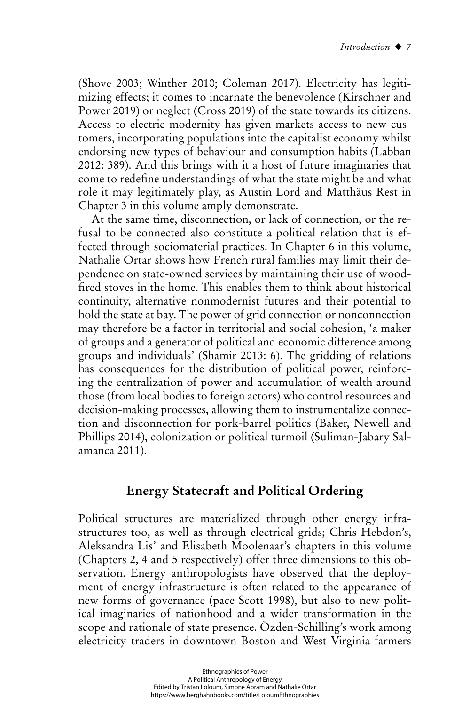(Shove 2003; Winther 2010; Coleman 2017). Electricity has legitimizing effects; it comes to incarnate the benevolence (Kirschner and Power 2019) or neglect (Cross 2019) of the state towards its citizens. Access to electric modernity has given markets access to new customers, incorporating populations into the capitalist economy whilst endorsing new types of behaviour and consumption habits (Labban 2012: 389). And this brings with it a host of future imaginaries that come to redefine understandings of what the state might be and what role it may legitimately play, as Austin Lord and Matthäus Rest in Chapter 3 in this volume amply demonstrate.

At the same time, disconnection, or lack of connection, or the refusal to be connected also constitute a political relation that is effected through sociomaterial practices. In Chapter 6 in this volume, Nathalie Ortar shows how French rural families may limit their dependence on state-owned services by maintaining their use of woodfired stoves in the home. This enables them to think about historical continuity, alternative nonmodernist futures and their potential to hold the state at bay. The power of grid connection or nonconnection may therefore be a factor in territorial and social cohesion, 'a maker of groups and a generator of political and economic difference among groups and individuals' (Shamir 2013: 6). The gridding of relations has consequences for the distribution of political power, reinforcing the centralization of power and accumulation of wealth around those (from local bodies to foreign actors) who control resources and decision-making processes, allowing them to instrumentalize connection and disconnection for pork-barrel politics (Baker, Newell and Phillips 2014), colonization or political turmoil (Suliman-Jabary Salamanca 2011).

# **Energy Statecraft and Political Ordering**

Political structures are materialized through other energy infrastructures too, as well as through electrical grids; Chris Hebdon's, Aleksandra Lis' and Elisabeth Moolenaar's chapters in this volume (Chapters 2, 4 and 5 respectively) offer three dimensions to this observation. Energy anthropologists have observed that the deployment of energy infrastructure is often related to the appearance of new forms of governance (pace Scott 1998), but also to new political imaginaries of nationhood and a wider transformation in the scope and rationale of state presence. Ö zden-Schilling's work among electricity traders in downtown Boston and West Virginia farmers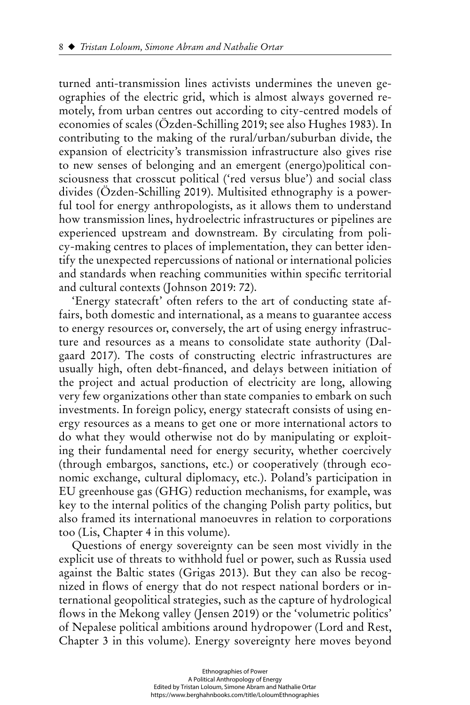turned anti-transmission lines activists undermines the uneven geographies of the electric grid, which is almost always governed remotely, from urban centres out according to city-centred models of economies of scales (Ö zden-Schilling 2019; see also Hughes 1983). In contributing to the making of the rural/urban/suburban divide, the expansion of electricity's transmission infrastructure also gives rise to new senses of belonging and an emergent (energo)political consciousness that crosscut political ('red versus blue') and social class divides (Ö zden-Schilling 2019). Multisited ethnography is a powerful tool for energy anthropologists, as it allows them to understand how transmission lines, hydroelectric infrastructures or pipelines are experienced upstream and downstream. By circulating from policy-making centres to places of implementation, they can better identify the unexpected repercussions of national or international policies and standards when reaching communities within specific territorial and cultural contexts (Johnson 2019: 72).

'Energy statecraft' often refers to the art of conducting state affairs, both domestic and international, as a means to guarantee access to energy resources or, conversely, the art of using energy infrastructure and resources as a means to consolidate state authority (Dalgaard 2017). The costs of constructing electric infrastructures are usually high, often debt-financed, and delays between initiation of the project and actual production of electricity are long, allowing very few organizations other than state companies to embark on such investments. In foreign policy, energy statecraft consists of using energy resources as a means to get one or more international actors to do what they would otherwise not do by manipulating or exploiting their fundamental need for energy security, whether coercively (through embargos, sanctions, etc.) or cooperatively (through economic exchange, cultural diplomacy, etc.). Poland's participation in EU greenhouse gas (GHG) reduction mechanisms, for example, was key to the internal politics of the changing Polish party politics, but also framed its international manoeuvres in relation to corporations too (Lis, Chapter 4 in this volume).

Questions of energy sovereignty can be seen most vividly in the explicit use of threats to withhold fuel or power, such as Russia used against the Baltic states (Grigas 2013). But they can also be recognized in flows of energy that do not respect national borders or international geopolitical strategies, such as the capture of hydrological flows in the Mekong valley (Jensen 2019) or the 'volumetric politics' of Nepalese political ambitions around hydropower (Lord and Rest, Chapter 3 in this volume). Energy sovereignty here moves beyond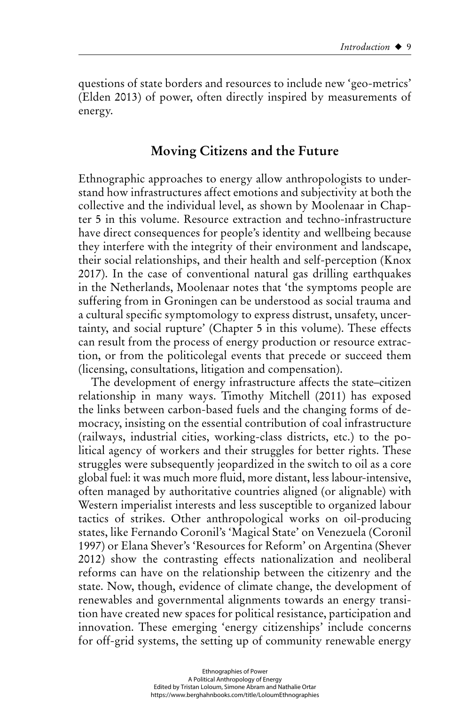questions of state borders and resources to include new 'geo-metrics' (Elden 2013) of power, often directly inspired by measurements of energy.

### **Moving Citizens and the Future**

Ethnographic approaches to energy allow anthropologists to understand how infrastructures affect emotions and subjectivity at both the collective and the individual level, as shown by Moolenaar in Chapter 5 in this volume. Resource extraction and techno-infrastructure have direct consequences for people's identity and wellbeing because they interfere with the integrity of their environment and landscape, their social relationships, and their health and self-perception (Knox 2017). In the case of conventional natural gas drilling earthquakes in the Netherlands, Moolenaar notes that 'the symptoms people are suffering from in Groningen can be understood as social trauma and a cultural specific symptomology to express distrust, unsafety, uncertainty, and social rupture' (Chapter 5 in this volume). These effects can result from the process of energy production or resource extraction, or from the politicolegal events that precede or succeed them (licensing, consultations, litigation and compensation).

The development of energy infrastructure affects the state–citizen relationship in many ways. Timothy Mitchell (2011) has exposed the links between carbon-based fuels and the changing forms of democracy, insisting on the essential contribution of coal infrastructure (railways, industrial cities, working-class districts, etc.) to the political agency of workers and their struggles for better rights. These struggles were subsequently jeopardized in the switch to oil as a core global fuel: it was much more fluid, more distant, less labour-intensive, often managed by authoritative countries aligned (or alignable) with Western imperialist interests and less susceptible to organized labour tactics of strikes. Other anthropological works on oil-producing states, like Fernando Coronil's 'Magical State' on Venezuela (Coronil 1997) or Elana Shever's 'Resources for Reform' on Argentina (Shever 2012) show the contrasting effects nationalization and neoliberal reforms can have on the relationship between the citizenry and the state. Now, though, evidence of climate change, the development of renewables and governmental alignments towards an energy transition have created new spaces for political resistance, participation and innovation. These emerging 'energy citizenships' include concerns for off-grid systems, the setting up of community renewable energy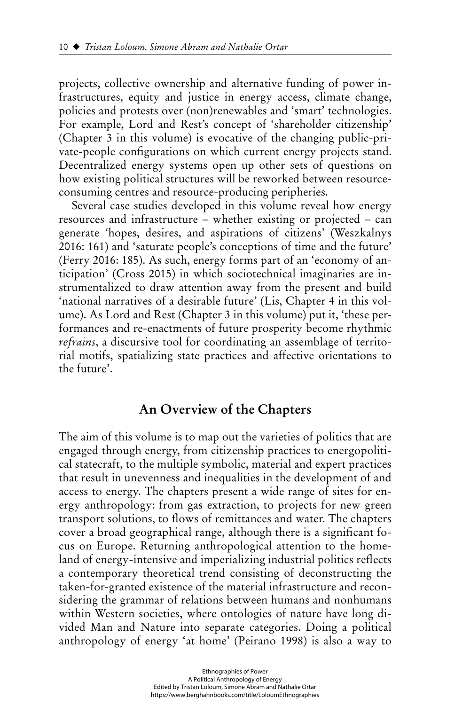projects, collective ownership and alternative funding of power infrastructures, equity and justice in energy access, climate change, policies and protests over (non)renewables and 'smart' technologies. For example, Lord and Rest's concept of 'shareholder citizenship' (Chapter 3 in this volume) is evocative of the changing public-private-people configurations on which current energy projects stand. Decentralized energy systems open up other sets of questions on how existing political structures will be reworked between resourceconsuming centres and resource-producing peripheries.

Several case studies developed in this volume reveal how energy resources and infrastructure – whether existing or projected – can generate 'hopes, desires, and aspirations of citizens' (Weszkalnys 2016: 161) and 'saturate people's conceptions of time and the future' (Ferry 2016: 185). As such, energy forms part of an 'economy of anticipation' (Cross 2015) in which sociotechnical imaginaries are instrumentalized to draw attention away from the present and build 'national narratives of a desirable future' (Lis, Chapter 4 in this volume). As Lord and Rest (Chapter 3 in this volume) put it, 'these performances and re-enactments of future prosperity become rhythmic *refrains*, a discursive tool for coordinating an assemblage of territorial motifs, spatializing state practices and affective orientations to the future'.

### **An Overview of the Chapters**

The aim of this volume is to map out the varieties of politics that are engaged through energy, from citizenship practices to energopolitical statecraft, to the multiple symbolic, material and expert practices that result in unevenness and inequalities in the development of and access to energy. The chapters present a wide range of sites for energy anthropology: from gas extraction, to projects for new green transport solutions, to flows of remittances and water. The chapters cover a broad geographical range, although there is a significant focus on Europe. Returning anthropological attention to the homeland of energy-intensive and imperializing industrial politics reflects a contemporary theoretical trend consisting of deconstructing the taken-for-granted existence of the material infrastructure and reconsidering the grammar of relations between humans and nonhumans within Western societies, where ontologies of nature have long divided Man and Nature into separate categories. Doing a political anthropology of energy 'at home' (Peirano 1998) is also a way to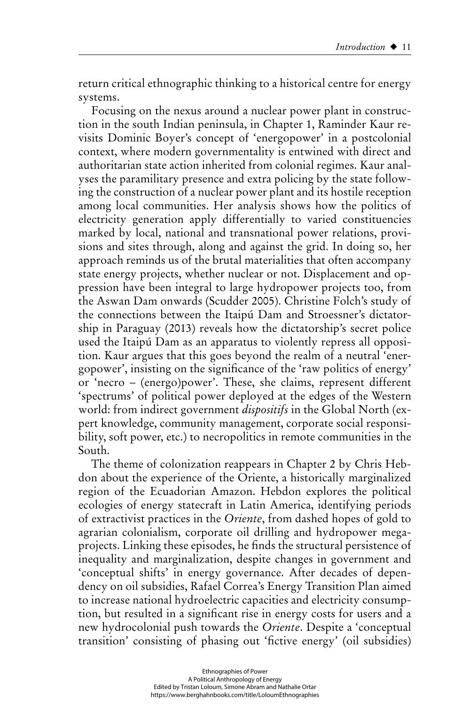return critical ethnographic thinking to a historical centre for energy systems.

Focusing on the nexus around a nuclear power plant in construction in the south Indian peninsula, in Chapter 1, Raminder Kaur revisits Dominic Boyer's concept of 'energopower' in a postcolonial context, where modern governmentality is entwined with direct and authoritarian state action inherited from colonial regimes. Kaur analyses the paramilitary presence and extra policing by the state following the construction of a nuclear power plant and its hostile reception among local communities. Her analysis shows how the politics of electricity generation apply differentially to varied constituencies marked by local, national and transnational power relations, provisions and sites through, along and against the grid. In doing so, her approach reminds us of the brutal materialities that often accompany state energy projects, whether nuclear or not. Displacement and oppression have been integral to large hydropower projects too, from the Aswan Dam onwards (Scudder 2005). Christine Folch's study of the connections between the Itaipú Dam and Stroessner's dictatorship in Paraguay (2013) reveals how the dictatorship's secret police used the Itaipú Dam as an apparatus to violently repress all opposition. Kaur argues that this goes beyond the realm of a neutral 'energopower', insisting on the significance of the 'raw politics of energy' or 'necro – (energo)power'. These, she claims, represent different 'spectrums' of political power deployed at the edges of the Western world: from indirect government *dispositifs* in the Global North (expert knowledge, community management, corporate social responsibility, soft power, etc.) to necropolitics in remote communities in the South.

The theme of colonization reappears in Chapter 2 by Chris Hebdon about the experience of the Oriente, a historically marginalized region of the Ecuadorian Amazon. Hebdon explores the political ecologies of energy statecraft in Latin America, identifying periods of extractivist practices in the *Oriente*, from dashed hopes of gold to agrarian colonialism, corporate oil drilling and hydropower megaprojects. Linking these episodes, he finds the structural persistence of inequality and marginalization, despite changes in government and 'conceptual shifts' in energy governance. After decades of dependency on oil subsidies, Rafael Correa's Energy Transition Plan aimed to increase national hydroelectric capacities and electricity consumption, but resulted in a significant rise in energy costs for users and a new hydrocolonial push towards the *Oriente*. Despite a 'conceptual transition' consisting of phasing out 'fictive energy' (oil subsidies)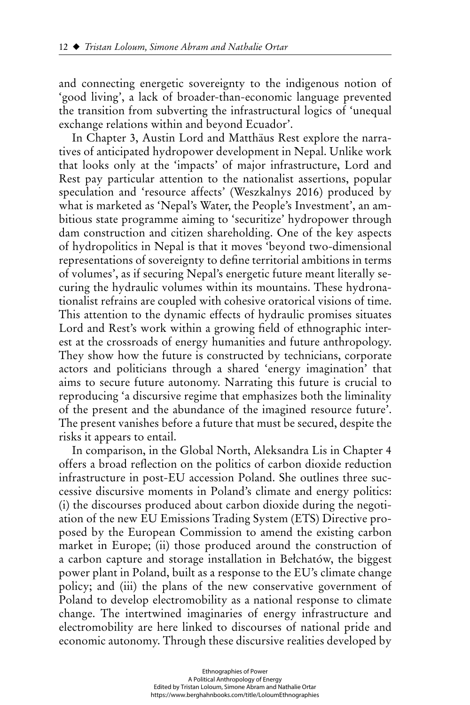and connecting energetic sovereignty to the indigenous notion of 'good living', a lack of broader-than-economic language prevented the transition from subverting the infrastructural logics of 'unequal exchange relations within and beyond Ecuador'.

In Chapter 3, Austin Lord and Matthäus Rest explore the narratives of anticipated hydropower development in Nepal. Unlike work that looks only at the 'impacts' of major infrastructure, Lord and Rest pay particular attention to the nationalist assertions, popular speculation and 'resource affects' (Weszkalnys 2016) produced by what is marketed as 'Nepal's Water, the People's Investment', an ambitious state programme aiming to 'securitize' hydropower through dam construction and citizen shareholding. One of the key aspects of hydropolitics in Nepal is that it moves 'beyond two-dimensional representations of sovereignty to define territorial ambitions in terms of volumes', as if securing Nepal's energetic future meant literally securing the hydraulic volumes within its mountains. These hydronationalist refrains are coupled with cohesive oratorical visions of time. This attention to the dynamic effects of hydraulic promises situates Lord and Rest's work within a growing field of ethnographic interest at the crossroads of energy humanities and future anthropology. They show how the future is constructed by technicians, corporate actors and politicians through a shared 'energy imagination' that aims to secure future autonomy. Narrating this future is crucial to reproducing 'a discursive regime that emphasizes both the liminality of the present and the abundance of the imagined resource future'. The present vanishes before a future that must be secured, despite the risks it appears to entail.

In comparison, in the Global North, Aleksandra Lis in Chapter 4 offers a broad reflection on the politics of carbon dioxide reduction infrastructure in post-EU accession Poland. She outlines three successive discursive moments in Poland's climate and energy politics: (i) the discourses produced about carbon dioxide during the negotiation of the new EU Emissions Trading System (ETS) Directive proposed by the European Commission to amend the existing carbon market in Europe; (ii) those produced around the construction of a carbon capture and storage installation in Bełchatów, the biggest power plant in Poland, built as a response to the EU's climate change policy; and (iii) the plans of the new conservative government of Poland to develop electromobility as a national response to climate change. The intertwined imaginaries of energy infrastructure and electromobility are here linked to discourses of national pride and economic autonomy. Through these discursive realities developed by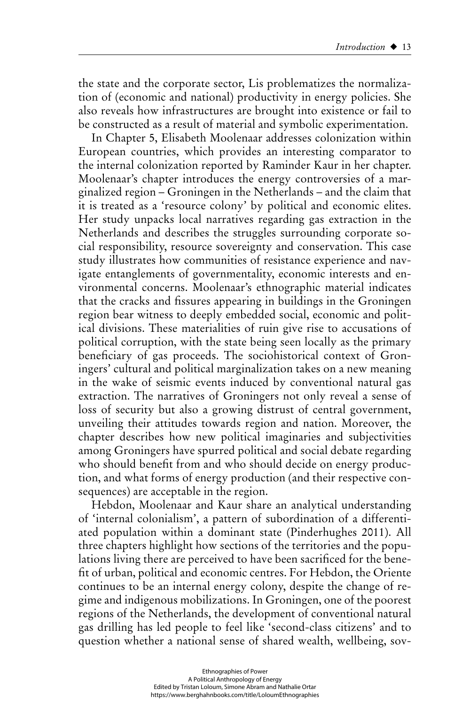the state and the corporate sector, Lis problematizes the normalization of (economic and national) productivity in energy policies. She also reveals how infrastructures are brought into existence or fail to be constructed as a result of material and symbolic experimentation.

In Chapter 5, Elisabeth Moolenaar addresses colonization within European countries, which provides an interesting comparator to the internal colonization reported by Raminder Kaur in her chapter. Moolenaar's chapter introduces the energy controversies of a marginalized region – Groningen in the Netherlands – and the claim that it is treated as a 'resource colony' by political and economic elites. Her study unpacks local narratives regarding gas extraction in the Netherlands and describes the struggles surrounding corporate social responsibility, resource sovereignty and conservation. This case study illustrates how communities of resistance experience and navigate entanglements of governmentality, economic interests and environmental concerns. Moolenaar's ethnographic material indicates that the cracks and fissures appearing in buildings in the Groningen region bear witness to deeply embedded social, economic and political divisions. These materialities of ruin give rise to accusations of political corruption, with the state being seen locally as the primary beneficiary of gas proceeds. The sociohistorical context of Groningers' cultural and political marginalization takes on a new meaning in the wake of seismic events induced by conventional natural gas extraction. The narratives of Groningers not only reveal a sense of loss of security but also a growing distrust of central government, unveiling their attitudes towards region and nation. Moreover, the chapter describes how new political imaginaries and subjectivities among Groningers have spurred political and social debate regarding who should benefit from and who should decide on energy production, and what forms of energy production (and their respective consequences) are acceptable in the region.

Hebdon, Moolenaar and Kaur share an analytical understanding of 'internal colonialism', a pattern of subordination of a differentiated population within a dominant state (Pinderhughes 2011). All three chapters highlight how sections of the territories and the populations living there are perceived to have been sacrificed for the benefit of urban, political and economic centres. For Hebdon, the Oriente continues to be an internal energy colony, despite the change of regime and indigenous mobilizations. In Groningen, one of the poorest regions of the Netherlands, the development of conventional natural gas drilling has led people to feel like 'second-class citizens' and to question whether a national sense of shared wealth, wellbeing, sov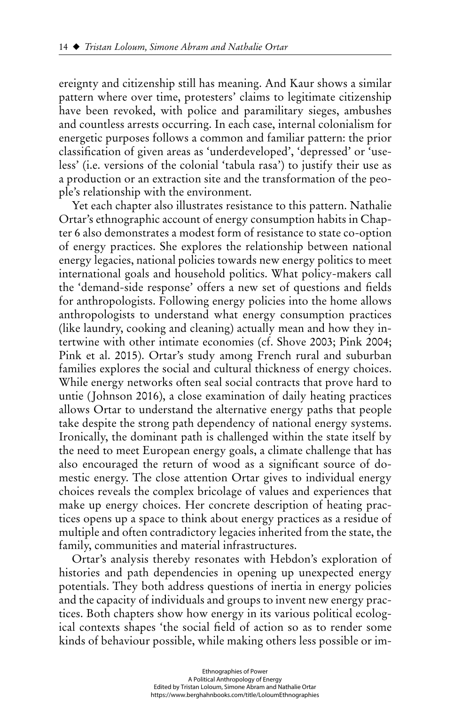ereignty and citizenship still has meaning. And Kaur shows a similar pattern where over time, protesters' claims to legitimate citizenship have been revoked, with police and paramilitary sieges, ambushes and countless arrests occurring. In each case, internal colonialism for energetic purposes follows a common and familiar pattern: the prior classifi cation of given areas as 'underdeveloped', 'depressed' or 'useless' (i.e. versions of the colonial 'tabula rasa') to justify their use as a production or an extraction site and the transformation of the people's relationship with the environment.

Yet each chapter also illustrates resistance to this pattern. Nathalie Ortar's ethnographic account of energy consumption habits in Chapter 6 also demonstrates a modest form of resistance to state co-option of energy practices. She explores the relationship between national energy legacies, national policies towards new energy politics to meet international goals and household politics. What policy-makers call the 'demand-side response' offers a new set of questions and fields for anthropologists. Following energy policies into the home allows anthropologists to understand what energy consumption practices (like laundry, cooking and cleaning) actually mean and how they intertwine with other intimate economies (cf. Shove 2003; Pink 2004; Pink et al. 2015). Ortar's study among French rural and suburban families explores the social and cultural thickness of energy choices. While energy networks often seal social contracts that prove hard to untie (Johnson 2016), a close examination of daily heating practices allows Ortar to understand the alternative energy paths that people take despite the strong path dependency of national energy systems. Ironically, the dominant path is challenged within the state itself by the need to meet European energy goals, a climate challenge that has also encouraged the return of wood as a significant source of domestic energy. The close attention Ortar gives to individual energy choices reveals the complex bricolage of values and experiences that make up energy choices. Her concrete description of heating practices opens up a space to think about energy practices as a residue of multiple and often contradictory legacies inherited from the state, the family, communities and material infrastructures.

Ortar's analysis thereby resonates with Hebdon's exploration of histories and path dependencies in opening up unexpected energy potentials. They both address questions of inertia in energy policies and the capacity of individuals and groups to invent new energy practices. Both chapters show how energy in its various political ecological contexts shapes 'the social field of action so as to render some kinds of behaviour possible, while making others less possible or im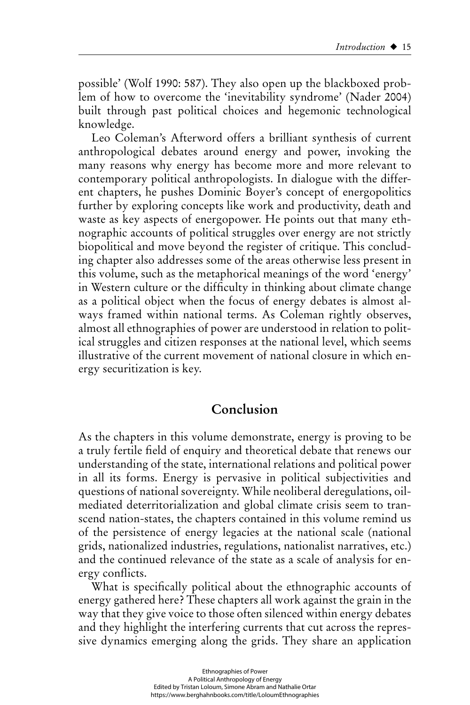possible' (Wolf 1990: 587). They also open up the blackboxed problem of how to overcome the 'inevitability syndrome' (Nader 2004) built through past political choices and hegemonic technological knowledge.

Leo Coleman's Afterword offers a brilliant synthesis of current anthropological debates around energy and power, invoking the many reasons why energy has become more and more relevant to contemporary political anthropologists. In dialogue with the different chapters, he pushes Dominic Boyer's concept of energopolitics further by exploring concepts like work and productivity, death and waste as key aspects of energopower. He points out that many ethnographic accounts of political struggles over energy are not strictly biopolitical and move beyond the register of critique. This concluding chapter also addresses some of the areas otherwise less present in this volume, such as the metaphorical meanings of the word 'energy' in Western culture or the difficulty in thinking about climate change as a political object when the focus of energy debates is almost always framed within national terms. As Coleman rightly observes, almost all ethnographies of power are understood in relation to political struggles and citizen responses at the national level, which seems illustrative of the current movement of national closure in which energy securitization is key.

## **Conclusion**

As the chapters in this volume demonstrate, energy is proving to be a truly fertile field of enquiry and theoretical debate that renews our understanding of the state, international relations and political power in all its forms. Energy is pervasive in political subjectivities and questions of national sovereignty. While neoliberal deregulations, oilmediated deterritorialization and global climate crisis seem to transcend nation-states, the chapters contained in this volume remind us of the persistence of energy legacies at the national scale (national grids, nationalized industries, regulations, nationalist narratives, etc.) and the continued relevance of the state as a scale of analysis for energy conflicts.

What is specifically political about the ethnographic accounts of energy gathered here? These chapters all work against the grain in the way that they give voice to those often silenced within energy debates and they highlight the interfering currents that cut across the repressive dynamics emerging along the grids. They share an application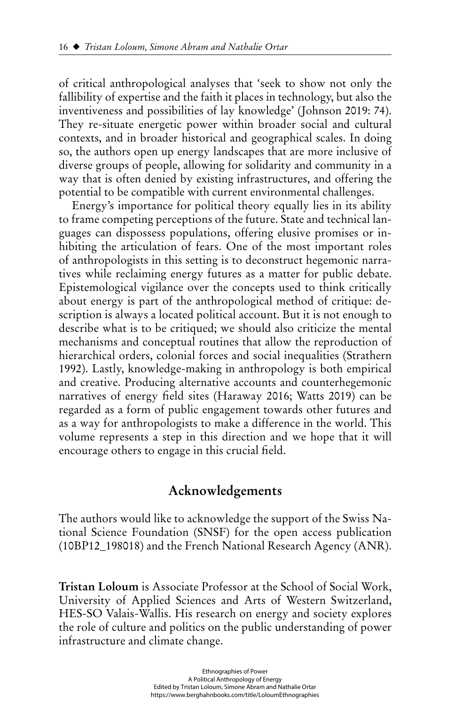of critical anthropological analyses that 'seek to show not only the fallibility of expertise and the faith it places in technology, but also the inventiveness and possibilities of lay knowledge' (Johnson 2019: 74). They re-situate energetic power within broader social and cultural contexts, and in broader historical and geographical scales. In doing so, the authors open up energy landscapes that are more inclusive of diverse groups of people, allowing for solidarity and community in a way that is often denied by existing infrastructures, and offering the potential to be compatible with current environmental challenges.

Energy's importance for political theory equally lies in its ability to frame competing perceptions of the future. State and technical languages can dispossess populations, offering elusive promises or inhibiting the articulation of fears. One of the most important roles of anthropologists in this setting is to deconstruct hegemonic narratives while reclaiming energy futures as a matter for public debate. Epistemological vigilance over the concepts used to think critically about energy is part of the anthropological method of critique: description is always a located political account. But it is not enough to describe what is to be critiqued; we should also criticize the mental mechanisms and conceptual routines that allow the reproduction of hierarchical orders, colonial forces and social inequalities (Strathern 1992). Lastly, knowledge-making in anthropology is both empirical and creative. Producing alternative accounts and counterhegemonic narratives of energy field sites (Haraway 2016; Watts 2019) can be regarded as a form of public engagement towards other futures and as a way for anthropologists to make a difference in the world. This volume represents a step in this direction and we hope that it will encourage others to engage in this crucial field.

### **Acknowledgements**

The authors would like to acknowledge the support of the Swiss National Science Foundation (SNSF) for the open access publication (10BP12\_198018) and the French National Research Agency (ANR).

**Tristan Loloum** is Associate Professor at the School of Social Work, University of Applied Sciences and Arts of Western Switzerland, HES-SO Valais-Wallis. His research on energy and society explores the role of culture and politics on the public understanding of power infrastructure and climate change.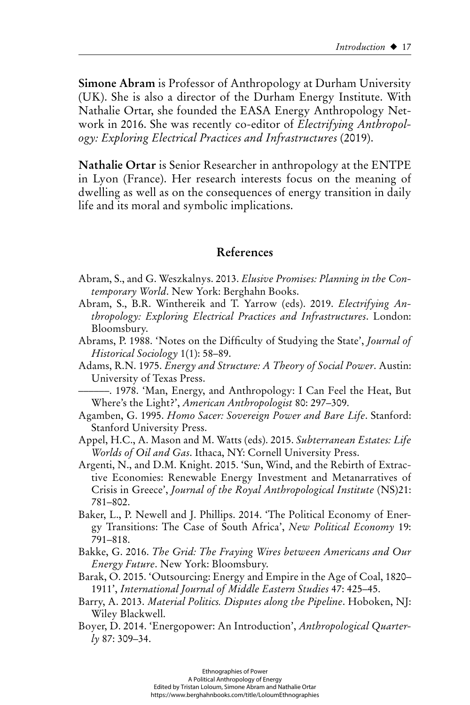**Simone Abram** is Professor of Anthropology at Durham University (UK). She is also a director of the Durham Energy Institute. With Nathalie Ortar, she founded the EASA Energy Anthropology Network in 2016. She was recently co-editor of *Electrifying Anthropology: Exploring Electrical Practices and Infrastructures* (2019).

**Nathalie Ortar** is Senior Researcher in anthropology at the ENTPE in Lyon (France). Her research interests focus on the meaning of dwelling as well as on the consequences of energy transition in daily life and its moral and symbolic implications.

#### **References**

- Abram, S., and G. Weszkalnys. 2013. *Elusive Promises: Planning in the Contemporary World*. New York: Berghahn Books.
- Abram, S., B.R. Winthereik and T. Yarrow (eds). 2019. *Electrifying Anthropology: Exploring Electrical Practices and Infrastructures*. London: Bloomsbury.
- Abrams, P. 1988. 'Notes on the Difficulty of Studying the State', *Journal of Historical Sociology* 1(1): 58–89.
- Adams, R.N. 1975. *Energy and Structure: A Theory of Social Power*. Austin: University of Texas Press.

––––––. 1978. 'Man, Energy, and Anthropology: I Can Feel the Heat, But Where's the Light?', *American Anthropologist* 80: 297–309.

- Agamben, G. 1995. *Homo Sacer: Sovereign Power and Bare Life*. Stanford: Stanford University Press.
- Appel, H.C., A. Mason and M. Watts (eds). 2015. *Subterranean Estates: Life Worlds of Oil and Gas*. Ithaca, NY: Cornell University Press.
- Argenti, N., and D.M. Knight. 2015. 'Sun, Wind, and the Rebirth of Extractive Economies: Renewable Energy Investment and Metanarratives of Crisis in Greece', *Journal of the Royal Anthropological Institute* (NS)21: 781–802.
- Baker, L., P. Newell and J. Phillips. 2014. 'The Political Economy of Energy Transitions: The Case of South Africa', *New Political Economy* 19: 791–818.
- Bakke, G. 2016. *The Grid: The Fraying Wires between Americans and Our Energy Future*. New York: Bloomsbury.
- Barak, O. 2015. 'Outsourcing: Energy and Empire in the Age of Coal, 1820– 1911', *International Journal of Middle Eastern Studies* 47: 425–45.
- Barry, A. 2013. *Material Politics. Disputes along the Pipeline*. Hoboken, NJ: Wiley Blackwell.
- Boyer, D. 2014. 'Energopower: An Introduction', *Anthropological Quarterly* 87: 309–34.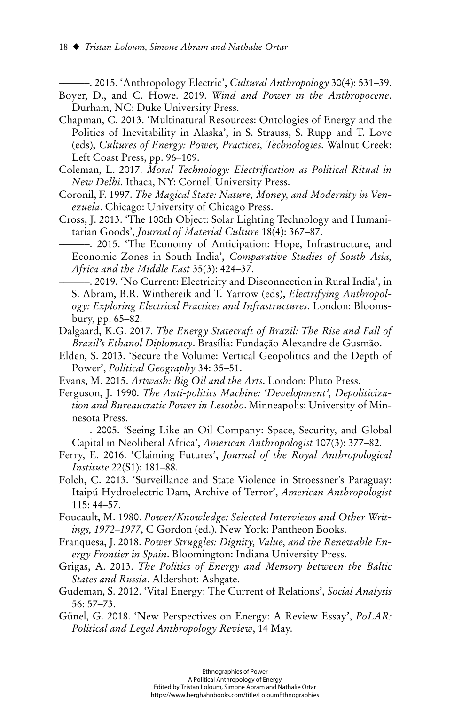––––––. 2015. 'Anthropology Electric', *Cultural Anthropology* 30(4): 531–39.

- Boyer, D., and C. Howe. 2019. *Wind and Power in the Anthropocene*. Durham, NC: Duke University Press.
- Chapman, C. 2013. 'Multinatural Resources: Ontologies of Energy and the Politics of Inevitability in Alaska', in S. Strauss, S. Rupp and T. Love (eds), *Cultures of Energy: Power, Practices, Technologies*. Walnut Creek: Left Coast Press, pp. 96–109.
- Coleman, L. 2017. *Moral Technology: Electrification as Political Ritual in New Delhi*. Ithaca, NY: Cornell University Press.
- Coronil, F. 1997. *The Magical State: Nature, Money, and Modernity in Venezuela*. Chicago: University of Chicago Press.
- Cross, J. 2013. 'The 100th Object: Solar Lighting Technology and Humanitarian Goods', *Journal of Material Culture* 18(4): 367–87.
	- ––––––. 2015. 'The Economy of Anticipation: Hope, Infrastructure, and Economic Zones in South India', *Comparative Studies of South Asia, Africa and the Middle East* 35(3): 424–37.
- ––––––. 2019. 'No Current: Electricity and Disconnection in Rural India', in S. Abram, B.R. Winthereik and T. Yarrow (eds), *Electrifying Anthropology: Exploring Electrical Practices and Infrastructures*. London: Bloomsbury, pp. 65–82.
- Dalgaard, K.G. 2017. *The Energy Statecraft of Brazil: The Rise and Fall of Brazil's Ethanol Diplomacy*. Brasília: Fundação Alexandre de Gusmão.
- Elden, S. 2013. 'Secure the Volume: Vertical Geopolitics and the Depth of Power', *Political Geography* 34: 35–51.
- Evans, M. 2015. *Artwash: Big Oil and the Arts*. London: Pluto Press.
- Ferguson, J. 1990. *The Anti-politics Machine: 'Development', Depoliticization and Bureaucratic Power in Lesotho*. Minneapolis: University of Minnesota Press.
- ––––––. 2005. 'Seeing Like an Oil Company: Space, Security, and Global Capital in Neoliberal Africa', *American Anthropologist* 107(3): 377–82.
- Ferry, E. 2016. 'Claiming Futures', *Journal of the Royal Anthropological Institute* 22(S1): 181–88.
- Folch, C. 2013. 'Surveillance and State Violence in Stroessner's Paraguay: Itaipú Hydroelectric Dam, Archive of Terror', *American Anthropologist* 115: 44–57.
- Foucault, M. 1980. *Power/Knowledge: Selected Interviews and Other Writings, 1972–1977*, C Gordon (ed.). New York: Pantheon Books.
- Franquesa, J. 2018. *Power Struggles: Dignity, Value, and the Renewable Energy Frontier in Spain*. Bloomington: Indiana University Press.
- Grigas, A. 2013. *The Politics of Energy and Memory between the Baltic States and Russia*. Aldershot: Ashgate.
- Gudeman, S. 2012. 'Vital Energy: The Current of Relations', *Social Analysis*  56: 57–73.
- Günel, G. 2018. 'New Perspectives on Energy: A Review Essay', *PoLAR: Political and Legal Anthropology Review*, 14 May.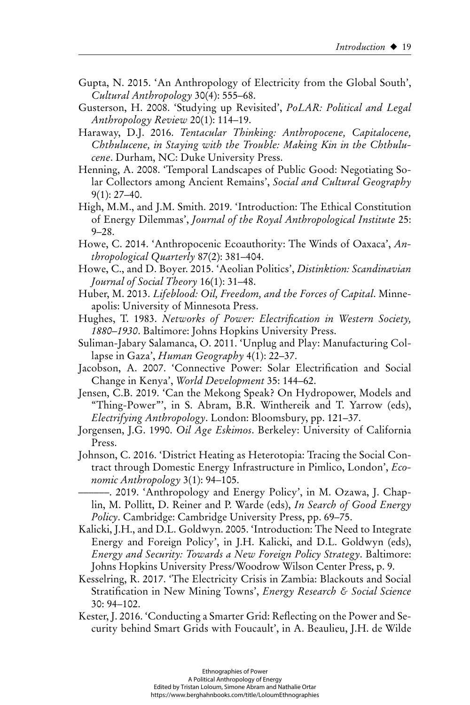- Gupta, N. 2015. 'An Anthropology of Electricity from the Global South', *Cultural Anthropology* 30(4): 555–68.
- Gusterson, H. 2008. 'Studying up Revisited', *PoLAR: Political and Legal Anthropology Review* 20(1): 114–19.
- Haraway, D.J. 2016. *Tentacular Thinking: Anthropocene, Capitalocene,*  Chthulucene, in Staying with the Trouble: Making Kin in the Chthulu*cene*. Durham, NC: Duke University Press.
- Henning, A. 2008. 'Temporal Landscapes of Public Good: Negotiating Solar Collectors among Ancient Remains', *Social and Cultural Geography* 9(1): 27–40.
- High, M.M., and J.M. Smith. 2019. 'Introduction: The Ethical Constitution of Energy Dilemmas', *Journal of the Royal Anthropological Institute* 25: 9–28.
- Howe, C. 2014. 'Anthropocenic Ecoauthority: The Winds of Oaxaca', *Anthropological Quarterly* 87(2): 381–404.
- Howe, C., and D. Boyer. 2015. 'Aeolian Politics', *Distinktion: Scandinavian Journal of Social Theory* 16(1): 31–48.
- Huber, M. 2013. *Lifeblood: Oil, Freedom, and the Forces of Capital*. Minneapolis: University of Minnesota Press.
- Hughes, T. 1983. *Networks of Power: Electrification in Western Society*, *1880–1930*. Baltimore: Johns Hopkins University Press.
- Suliman-Jabary Salamanca, O. 2011. 'Unplug and Play: Manufacturing Collapse in Gaza', *Human Geography* 4(1): 22–37.
- Jacobson, A. 2007. 'Connective Power: Solar Electrification and Social Change in Kenya', *World Development* 35: 144–62.
- Jensen, C.B. 2019. 'Can the Mekong Speak? On Hydropower, Models and "Thing-Power"', in S. Abram, B.R. Winthereik and T. Yarrow (eds), *Electrifying Anthropology*. London: Bloomsbury, pp. 121–37.
- Jorgensen, J.G. 1990. *Oil Age Eskimos*. Berkeley: University of California Press.
- Johnson, C. 2016. 'District Heating as Heterotopia: Tracing the Social Contract through Domestic Energy Infrastructure in Pimlico, London', *Economic Anthropology* 3(1): 94–105.
	- ––––––. 2019. 'Anthropology and Energy Policy', in M. Ozawa, J. Chaplin, M. Pollitt, D. Reiner and P. Warde (eds), *In Search of Good Energy Policy*. Cambridge: Cambridge University Press, pp. 69–75.
- Kalicki, J.H., and D.L. Goldwyn. 2005. 'Introduction: The Need to Integrate Energy and Foreign Policy', in J.H. Kalicki, and D.L. Goldwyn (eds), *Energy and Security: Towards a New Foreign Policy Strategy*. Baltimore: Johns Hopkins University Press/Woodrow Wilson Center Press, p. 9.
- Kesselring, R. 2017. 'The Electricity Crisis in Zambia: Blackouts and Social Stratifi cation in New Mining Towns', *Energy Research & Social Science* 30: 94–102.
- Kester, J. 2016. 'Conducting a Smarter Grid: Reflecting on the Power and Security behind Smart Grids with Foucault', in A. Beaulieu, J.H. de Wilde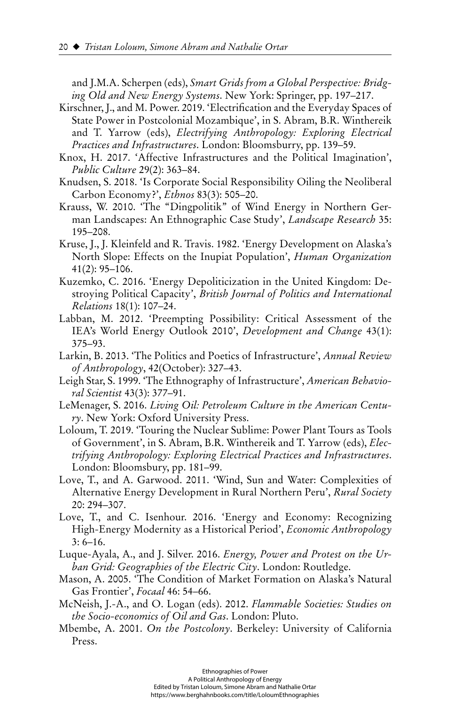and J.M.A. Scherpen (eds), *Smart Grids from a Global Perspective: Bridging Old and New Energy Systems*. New York: Springer, pp. 197–217.

- Kirschner, J., and M. Power. 2019. 'Electrification and the Everyday Spaces of State Power in Postcolonial Mozambique', in S. Abram, B.R. Winthereik and T. Yarrow (eds), *Electrifying Anthropology: Exploring Electrical Practices and Infrastructures*. London: Bloomsburry, pp. 139–59.
- Knox, H. 2017. 'Affective Infrastructures and the Political Imagination', *Public Culture* 29(2): 363–84.
- Knudsen, S. 2018. 'Is Corporate Social Responsibility Oiling the Neoliberal Carbon Economy?', *Ethnos* 83(3): 505–20.
- Krauss, W. 2010. 'The "Dingpolitik" of Wind Energy in Northern German Landscapes: An Ethnographic Case Study', *Landscape Research* 35: 195–208.
- Kruse, J., J. Kleinfeld and R. Travis. 1982. 'Energy Development on Alaska's North Slope: Effects on the Inupiat Population', *Human Organization* 41(2): 95–106.
- Kuzemko, C. 2016. 'Energy Depoliticization in the United Kingdom: Destroying Political Capacity', *British Journal of Politics and International Relations* 18(1): 107–24.
- Labban, M. 2012. 'Preempting Possibility: Critical Assessment of the IEA's World Energy Outlook 2010', *Development and Change* 43(1): 375–93.
- Larkin, B. 2013. 'The Politics and Poetics of Infrastructure', *Annual Review of Anthropology*, 42(October): 327–43.
- Leigh Star, S. 1999. 'The Ethnography of Infrastructure', *American Behavioral Scientist* 43(3): 377–91.
- LeMenager, S. 2016. *Living Oil: Petroleum Culture in the American Century*. New York: Oxford University Press.
- Loloum, T. 2019. 'Touring the Nuclear Sublime: Power Plant Tours as Tools of Government', in S. Abram, B.R. Winthereik and T. Yarrow (eds), *Electrifying Anthropology: Exploring Electrical Practices and Infrastructures*. London: Bloomsbury, pp. 181–99.
- Love, T., and A. Garwood. 2011. 'Wind, Sun and Water: Complexities of Alternative Energy Development in Rural Northern Peru', *Rural Society* 20: 294–307.
- Love, T., and C. Isenhour. 2016. 'Energy and Economy: Recognizing High-Energy Modernity as a Historical Period', *Economic Anthropology*  $3: 6-16.$
- Luque-Ayala, A., and J. Silver. 2016. *Energy, Power and Protest on the Urban Grid: Geographies of the Electric City*. London: Routledge.
- Mason, A. 2005. 'The Condition of Market Formation on Alaska's Natural Gas Frontier', *Focaal* 46: 54–66.
- McNeish, J.-A., and O. Logan (eds). 2012. *Flammable Societies: Studies on the Socio-economics of Oil and Gas*. London: Pluto.
- Mbembe, A. 2001. *On the Postcolony*. Berkeley: University of California Press.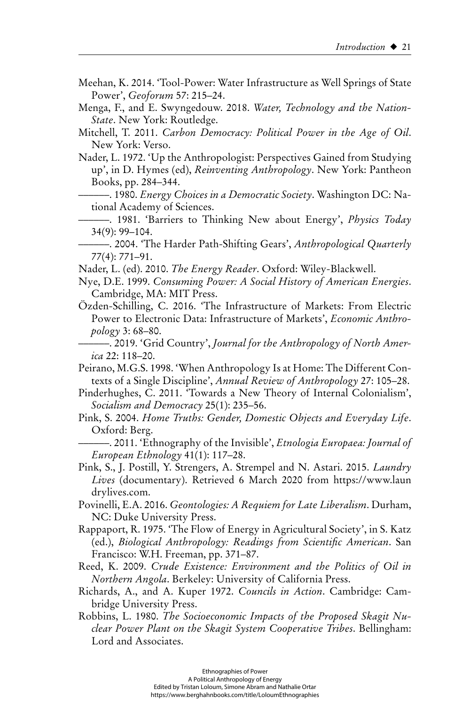- Meehan, K. 2014. 'Tool-Power: Water Infrastructure as Well Springs of State Power', *Geoforum* 57: 215–24.
- Menga, F., and E. Swyngedouw. 2018. *Water, Technology and the Nation-State*. New York: Routledge.

Mitchell, T. 2011. *Carbon Democracy: Political Power in the Age of Oil*. New York: Verso.

Nader, L. 1972. 'Up the Anthropologist: Perspectives Gained from Studying up', in D. Hymes (ed), *Reinventing Anthropology*. New York: Pantheon Books, pp. 284–344.

––––––. 1980. *Energy Choices in a Democratic Society*. Washington DC: National Academy of Sciences.

––––––. 1981. 'Barriers to Thinking New about Energy', *Physics Today* 34(9): 99–104.

––––––. 2004. 'The Harder Path-Shifting Gears', *Anthropological Quarterly* 77(4): 771–91.

Nader, L. (ed). 2010. *The Energy Reader*. Oxford: Wiley-Blackwell.

- Nye, D.E. 1999. *Consuming Power: A Social History of American Energies*. Cambridge, MA: MIT Press.
- Özden-Schilling, C. 2016. 'The Infrastructure of Markets: From Electric Power to Electronic Data: Infrastructure of Markets', *Economic Anthropology* 3: 68–80.
	- ––––––. 2019. 'Grid Country', *Journal for the Anthropology of North America* 22: 118–20.

Peirano, M.G.S. 1998. 'When Anthropology Is at Home: The Different Contexts of a Single Discipline', *Annual Review of Anthropology* 27: 105–28.

- Pinderhughes, C. 2011. 'Towards a New Theory of Internal Colonialism', *Socialism and Democracy* 25(1): 235–56.
- Pink, S. 2004. *Home Truths: Gender, Domestic Objects and Everyday Life*. Oxford: Berg.

––––––. 2011. 'Ethnography of the Invisible', *Etnologia Europaea: Journal of European Ethnology* 41(1): 117–28.

Pink, S., J. Postill, Y. Strengers, A. Strempel and N. Astari. 2015. *Laundry Lives* (documentary). Retrieved 6 March 2020 from <https://www.laun> drylives.com.

Povinelli, E.A. 2016. *Geontologies: A Requiem for Late Liberalism*. Durham, NC: Duke University Press.

- Rappaport, R. 1975. 'The Flow of Energy in Agricultural Society', in S. Katz (ed.), *Biological Anthropology: Readings from Scientific American*. San Francisco: W.H. Freeman, pp. 371–87.
- Reed, K. 2009. *Crude Existence: Environment and the Politics of Oil in Northern Angola*. Berkeley: University of California Press.
- Richards, A., and A. Kuper 1972. *Councils in Action*. Cambridge: Cambridge University Press.
- Robbins, L. 1980. *The Socioeconomic Impacts of the Proposed Skagit Nuclear Power Plant on the Skagit System Cooperative Tribes*. Bellingham: Lord and Associates.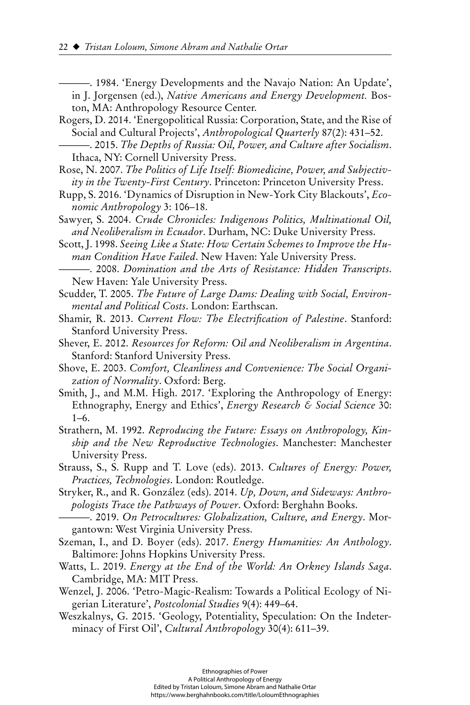––––––. 1984. 'Energy Developments and the Navajo Nation: An Update',

- in J. Jorgensen (ed.), *Native Americans and Energy Development.* Boston, MA: Anthropology Resource Center.
- Rogers, D. 2014. 'Energopolitical Russia: Corporation, State, and the Rise of Social and Cultural Projects', *Anthropological Quarterly* 87(2): 431–52.
	- ––––––. 2015. *The Depths of Russia: Oil, Power, and Culture after Socialism*. Ithaca, NY: Cornell University Press.
- Rose, N. 2007. *The Politics of Life Itself: Biomedicine, Power, and Subjectivity in the Twenty-First Century*. Princeton: Princeton University Press.
- Rupp, S. 2016. 'Dynamics of Disruption in New-York City Blackouts', *Economic Anthropology* 3: 106–18.
- Sawyer, S. 2004. *Crude Chronicles: Indigenous Politics, Multinational Oil, and Neoliberalism in Ecuador*. Durham, NC: Duke University Press.
- Scott, J. 1998. *Seeing Like a State: How Certain Schemes to Improve the Human Condition Have Failed*. New Haven: Yale University Press.
- ––––––. 2008. *Domination and the Arts of Resistance: Hidden Transcripts*. New Haven: Yale University Press.
- Scudder, T. 2005. *The Future of Large Dams: Dealing with Social, Environmental and Political Costs*. London: Earthscan.
- Shamir, R. 2013. *Current Flow: The Electrification of Palestine*. Stanford: Stanford University Press.
- Shever, E. 2012. *Resources for Reform: Oil and Neoliberalism in Argentina*. Stanford: Stanford University Press.
- Shove, E. 2003. *Comfort, Cleanliness and Convenience: The Social Organization of Normality*. Oxford: Berg.
- Smith, J., and M.M. High. 2017. 'Exploring the Anthropology of Energy: Ethnography, Energy and Ethics', *Energy Research & Social Science* 30: 1–6.
- Strathern, M. 1992. *Reproducing the Future: Essays on Anthropology, Kinship and the New Reproductive Technologies*. Manchester: Manchester University Press.
- Strauss, S., S. Rupp and T. Love (eds). 2013. *Cultures of Energy: Power, Practices, Technologies*. London: Routledge.
- Stryker, R., and R. González (eds). 2014. *Up, Down, and Sideways: Anthropologists Trace the Pathways of Power*. Oxford: Berghahn Books.
- ––––––. 2019. *On Petrocultures: Globalization, Culture, and Energy*. Morgantown: West Virginia University Press.
- Szeman, I., and D. Boyer (eds). 2017. *Energy Humanities: An Anthology*. Baltimore: Johns Hopkins University Press.
- Watts, L. 2019. *Energy at the End of the World: An Orkney Islands Saga*. Cambridge, MA: MIT Press.
- Wenzel, J. 2006. 'Petro-Magic-Realism: Towards a Political Ecology of Nigerian Literature', *Postcolonial Studies* 9(4): 449–64.
- Weszkalnys, G. 2015. 'Geology, Potentiality, Speculation: On the Indeterminacy of First Oil', *Cultural Anthropology* 30(4): 611–39.